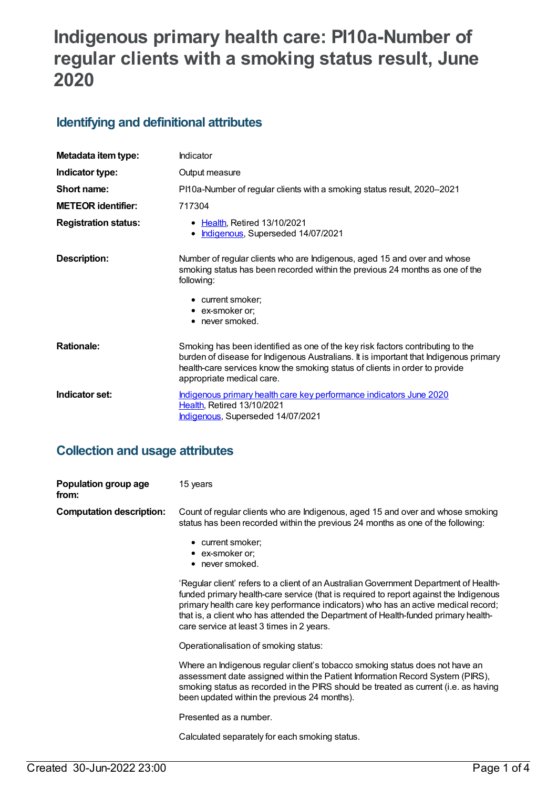# **Indigenous primary health care: PI10a-Number of regular clients with a smoking status result, June 2020**

### **Identifying and definitional attributes**

| Metadata item type:         | Indicator                                                                                                                                                                                                                                                                           |
|-----------------------------|-------------------------------------------------------------------------------------------------------------------------------------------------------------------------------------------------------------------------------------------------------------------------------------|
| Indicator type:             | Output measure                                                                                                                                                                                                                                                                      |
| Short name:                 | PI10a-Number of regular clients with a smoking status result, 2020–2021                                                                                                                                                                                                             |
| <b>METEOR identifier:</b>   | 717304                                                                                                                                                                                                                                                                              |
| <b>Registration status:</b> | • Health, Retired 13/10/2021<br>Indigenous, Superseded 14/07/2021                                                                                                                                                                                                                   |
| <b>Description:</b>         | Number of regular clients who are Indigenous, aged 15 and over and whose<br>smoking status has been recorded within the previous 24 months as one of the<br>following:                                                                                                              |
|                             | • current smoker;<br>• ex-smoker or;<br>$\bullet$ never smoked.                                                                                                                                                                                                                     |
| <b>Rationale:</b>           | Smoking has been identified as one of the key risk factors contributing to the<br>burden of disease for Indigenous Australians. It is important that Indigenous primary<br>health-care services know the smoking status of clients in order to provide<br>appropriate medical care. |
| Indicator set:              | Indigenous primary health care key performance indicators June 2020<br>Health, Retired 13/10/2021<br>Indigenous, Superseded 14/07/2021                                                                                                                                              |

#### **Collection and usage attributes**

| Population group age<br>from:   | 15 years                                                                                                                                                                                                                                                                                                                                                                                               |
|---------------------------------|--------------------------------------------------------------------------------------------------------------------------------------------------------------------------------------------------------------------------------------------------------------------------------------------------------------------------------------------------------------------------------------------------------|
| <b>Computation description:</b> | Count of regular clients who are Indigenous, aged 15 and over and whose smoking<br>status has been recorded within the previous 24 months as one of the following:                                                                                                                                                                                                                                     |
|                                 | • current smoker;<br>• ex-smoker or;<br>$\bullet$ never smoked.                                                                                                                                                                                                                                                                                                                                        |
|                                 | 'Regular client' refers to a client of an Australian Government Department of Health-<br>funded primary health-care service (that is required to report against the Indigenous<br>primary health care key performance indicators) who has an active medical record;<br>that is, a client who has attended the Department of Health-funded primary health-<br>care service at least 3 times in 2 years. |
|                                 | Operationalisation of smoking status:                                                                                                                                                                                                                                                                                                                                                                  |
|                                 | Where an Indigenous regular client's tobacco smoking status does not have an<br>assessment date assigned within the Patient Information Record System (PIRS),<br>smoking status as recorded in the PIRS should be treated as current (i.e. as having<br>been updated within the previous 24 months).                                                                                                   |
|                                 | Presented as a number.                                                                                                                                                                                                                                                                                                                                                                                 |
|                                 | Calculated separately for each smoking status.                                                                                                                                                                                                                                                                                                                                                         |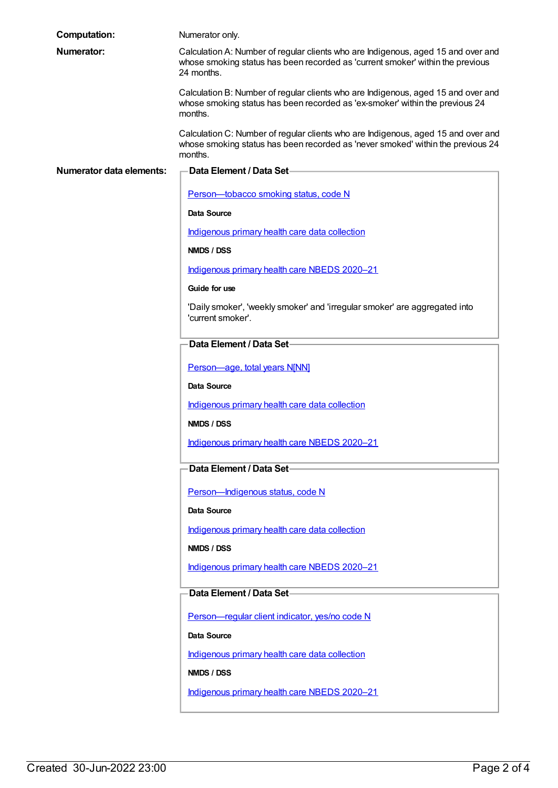| <b>Computation:</b>             | Numerator only.                                                                                                                                                                   |
|---------------------------------|-----------------------------------------------------------------------------------------------------------------------------------------------------------------------------------|
| <b>Numerator:</b>               | Calculation A: Number of regular clients who are Indigenous, aged 15 and over and<br>whose smoking status has been recorded as 'current smoker' within the previous<br>24 months. |
|                                 | Calculation B: Number of regular clients who are Indigenous, aged 15 and over and<br>whose smoking status has been recorded as 'ex-smoker' within the previous 24<br>months.      |
|                                 | Calculation C: Number of regular clients who are Indigenous, aged 15 and over and<br>whose smoking status has been recorded as 'never smoked' within the previous 24<br>months.   |
| <b>Numerator data elements:</b> | -Data Element / Data Set-                                                                                                                                                         |
|                                 | Person-tobacco smoking status, code N                                                                                                                                             |
|                                 | Data Source                                                                                                                                                                       |
|                                 | Indigenous primary health care data collection                                                                                                                                    |
|                                 | NMDS / DSS                                                                                                                                                                        |
|                                 | Indigenous primary health care NBEDS 2020-21                                                                                                                                      |
|                                 | Guide for use                                                                                                                                                                     |
|                                 | 'Daily smoker', 'weekly smoker' and 'irregular smoker' are aggregated into<br>'current smoker'.                                                                                   |
|                                 | Data Element / Data Set-                                                                                                                                                          |
|                                 | Person-age, total years N[NN]                                                                                                                                                     |
|                                 | Data Source                                                                                                                                                                       |
|                                 | Indigenous primary health care data collection                                                                                                                                    |
|                                 | NMDS / DSS                                                                                                                                                                        |
|                                 | Indigenous primary health care NBEDS 2020-21                                                                                                                                      |
|                                 | Data Element / Data Set-                                                                                                                                                          |
|                                 | Person-Indigenous status, code N                                                                                                                                                  |
|                                 | Data Source                                                                                                                                                                       |
|                                 | Indigenous primary health care data collection                                                                                                                                    |
|                                 | NMDS / DSS                                                                                                                                                                        |
|                                 | Indigenous primary health care NBEDS 2020-21                                                                                                                                      |
|                                 | <b>Data Element / Data Set-</b>                                                                                                                                                   |
|                                 | Person-regular client indicator, yes/no code N                                                                                                                                    |
|                                 | Data Source                                                                                                                                                                       |
|                                 | Indigenous primary health care data collection                                                                                                                                    |
|                                 | NMDS / DSS                                                                                                                                                                        |
|                                 | Indigenous primary health care NBEDS 2020-21                                                                                                                                      |
|                                 |                                                                                                                                                                                   |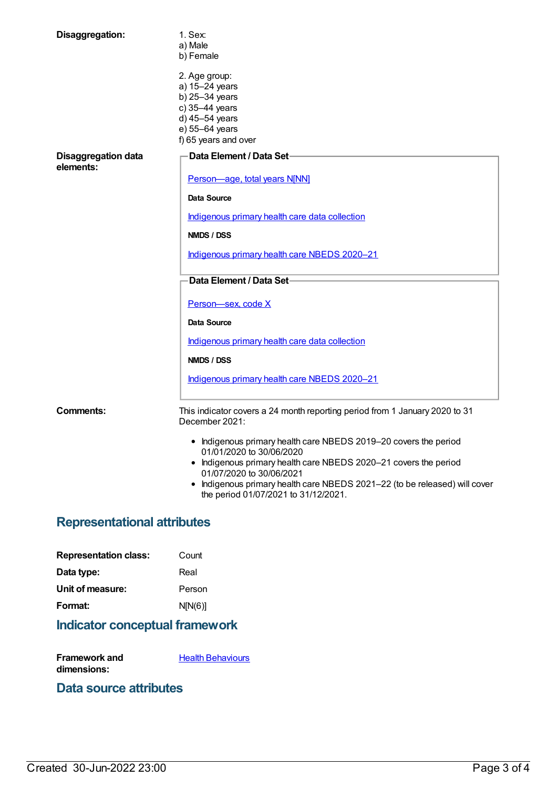| Disaggregation:                         | 1. Sex:<br>a) Male<br>b) Female                                                                                                 |
|-----------------------------------------|---------------------------------------------------------------------------------------------------------------------------------|
|                                         | 2. Age group:<br>a) 15-24 years<br>b) 25-34 years<br>c) 35-44 years<br>d) 45-54 years<br>e) 55-64 years<br>f) 65 years and over |
| <b>Disaggregation data</b><br>elements: | Data Element / Data Set-                                                                                                        |
|                                         | Person-age, total years N[NN]                                                                                                   |
|                                         | Data Source                                                                                                                     |
|                                         | Indigenous primary health care data collection                                                                                  |
|                                         | NMDS / DSS                                                                                                                      |
|                                         | Indigenous primary health care NBEDS 2020-21                                                                                    |
|                                         | Data Element / Data Set-                                                                                                        |
|                                         | Person-sex, code X                                                                                                              |
|                                         | <b>Data Source</b>                                                                                                              |
|                                         | Indigenous primary health care data collection                                                                                  |
|                                         | NMDS / DSS                                                                                                                      |
|                                         | Indigenous primary health care NBEDS 2020-21                                                                                    |
| <b>Comments:</b>                        | This indicator covers a 24 month reporting period from 1 January 2020 to 31<br>December 2021:                                   |
|                                         | • Indigenous primary health care NBEDS 2019-20 covers the period<br>01/01/2020 to 30/06/2020                                    |
|                                         | • Indigenous primary health care NBEDS 2020-21 covers the period<br>01/07/2020 to 30/06/2021                                    |
|                                         | • Indigenous primary health care NBEDS 2021-22 (to be released) will cover<br>the period 01/07/2021 to 31/12/2021.              |

## **Representational attributes**

| <b>Representation class:</b> | Count   |
|------------------------------|---------|
| Data type:                   | Real    |
| Unit of measure:             | Person  |
| Format:                      | N[N(6)] |

## **Indicator conceptual framework**

**Framework and dimensions: Health [Behaviours](https://meteor.aihw.gov.au/content/410676)** 

#### **Data source attributes**